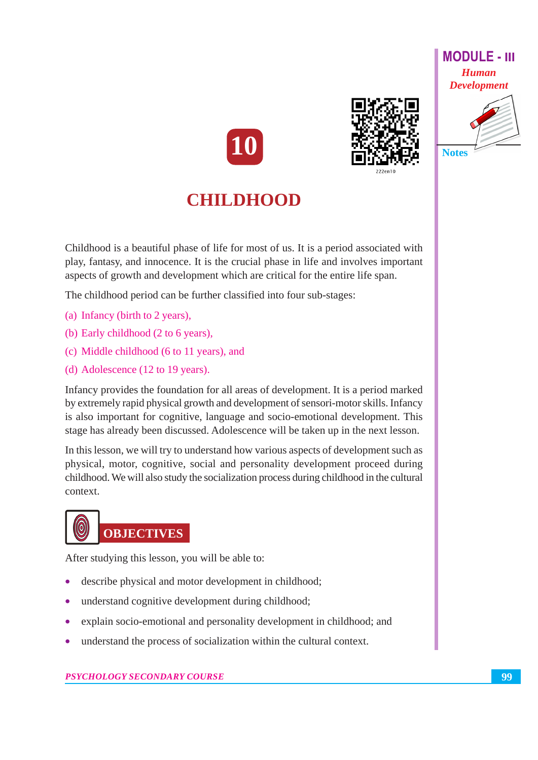





# **Notes**

## **CHILDHOOD**

Childhood is a beautiful phase of life for most of us. It is a period associated with play, fantasy, and innocence. It is the crucial phase in life and involves important aspects of growth and development which are critical for the entire life span.

The childhood period can be further classified into four sub-stages:

- (a) Infancy (birth to 2 years),
- (b) Early childhood (2 to 6 years),
- (c) Middle childhood (6 to 11 years), and
- (d) Adolescence  $(12 \text{ to } 19 \text{ years})$ .

Infancy provides the foundation for all areas of development. It is a period marked by extremely rapid physical growth and development of sensori-motor skills. Infancy is also important for cognitive, language and socio-emotional development. This stage has already been discussed. Adolescence will be taken up in the next lesson.

In this lesson, we will try to understand how various aspects of development such as physical, motor, cognitive, social and personality development proceed during childhood. We will also study the socialization process during childhood in the cultural context.

## **OBJECTIVES**

After studying this lesson, you will be able to:

- describe physical and motor development in childhood;
- understand cognitive development during childhood;
- explain socio-emotional and personality development in childhood; and
- understand the process of socialization within the cultural context.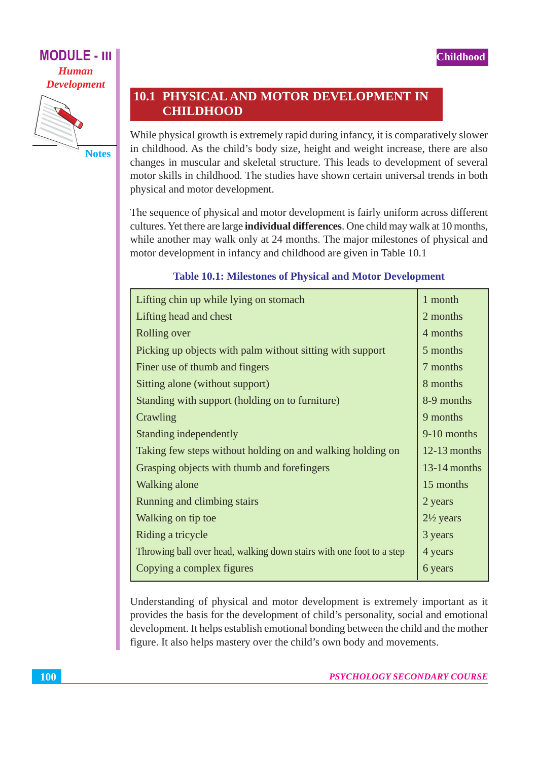



**10.1 PHYSICAL AND MOTOR DEVELOPMENT IN CHILDHOOD** 

While physical growth is extremely rapid during infancy, it is comparatively slower in childhood. As the child's body size, height and weight increase, there are also changes in muscular and skeletal structure. This leads to development of several motor skills in childhood. The studies have shown certain universal trends in both physical and motor development.

The sequence of physical and motor development is fairly uniform across different cultures. Yet there are large **individual differences**. One child may walk at 10 months, while another may walk only at 24 months. The major milestones of physical and motor development in infancy and childhood are given in Table 10.1

## **Table 10.1: Milestones of Physical and Motor Development**

| Lifting chin up while lying on stomach                               | 1 month              |
|----------------------------------------------------------------------|----------------------|
| Lifting head and chest                                               | 2 months             |
| Rolling over                                                         | 4 months             |
| Picking up objects with palm without sitting with support            | 5 months             |
| Finer use of thumb and fingers                                       | 7 months             |
| Sitting alone (without support)                                      | 8 months             |
| Standing with support (holding on to furniture)                      | 8-9 months           |
| Crawling                                                             | 9 months             |
| Standing independently                                               | 9-10 months          |
| Taking few steps without holding on and walking holding on           | $12-13$ months       |
| Grasping objects with thumb and forefingers                          | $13-14$ months       |
| Walking alone                                                        | 15 months            |
| Running and climbing stairs                                          | 2 years              |
| Walking on tip toe                                                   | $2\frac{1}{2}$ years |
| Riding a tricycle                                                    | 3 years              |
| Throwing ball over head, walking down stairs with one foot to a step | 4 years              |
| Copying a complex figures                                            | 6 years              |

Understanding of physical and motor development is extremely important as it provides the basis for the development of child's personality, social and emotional development. It helps establish emotional bonding between the child and the mother figure. It also helps mastery over the child's own body and movements.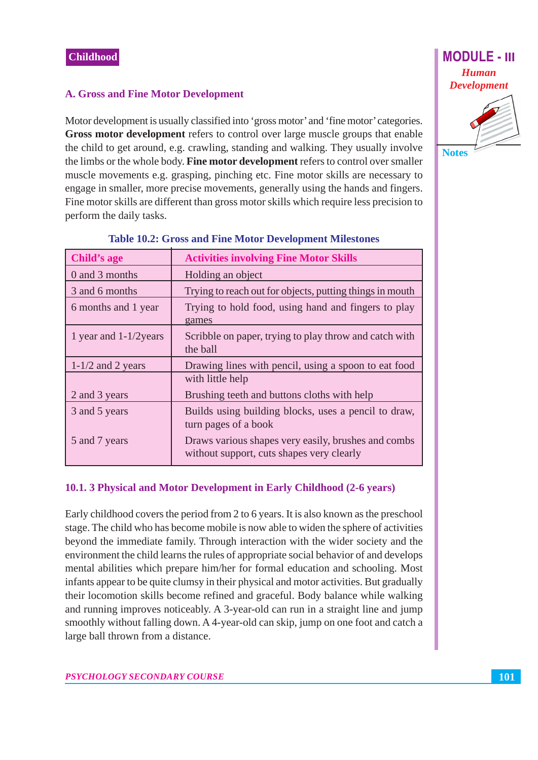## **A. Gross and Fine Motor Development**

Motor development is usually classified into 'gross motor' and 'fine motor' categories. Gross motor development refers to control over large muscle groups that enable the child to get around, e.g. crawling, standing and walking. They usually involve the limbs or the whole body. Fine motor development refers to control over smaller muscle movements e.g. grasping, pinching etc. Fine motor skills are necessary to engage in smaller, more precise movements, generally using the hands and fingers. Fine motor skills are different than gross motor skills which require less precision to perform the daily tasks.

| <b>Child's age</b>       | <b>Activities involving Fine Motor Skills</b>                                                    |
|--------------------------|--------------------------------------------------------------------------------------------------|
| 0 and 3 months           | Holding an object                                                                                |
| 3 and 6 months           | Trying to reach out for objects, putting things in mouth                                         |
| 6 months and 1 year      | Trying to hold food, using hand and fingers to play<br>games                                     |
| 1 year and $1-1/2$ years | Scribble on paper, trying to play throw and catch with<br>the ball                               |
| $1-1/2$ and 2 years      | Drawing lines with pencil, using a spoon to eat food                                             |
|                          | with little help                                                                                 |
| 2 and 3 years            | Brushing teeth and buttons cloths with help                                                      |
| 3 and 5 years            | Builds using building blocks, uses a pencil to draw,<br>turn pages of a book                     |
| 5 and 7 years            | Draws various shapes very easily, brushes and combs<br>without support, cuts shapes very clearly |

#### **Table 10.2: Gross and Fine Motor Development Milestones**

## 10.1. 3 Physical and Motor Development in Early Childhood (2-6 years)

Early childhood covers the period from 2 to 6 years. It is also known as the preschool stage. The child who has become mobile is now able to widen the sphere of activities beyond the immediate family. Through interaction with the wider society and the environment the child learns the rules of appropriate social behavior of and develops mental abilities which prepare him/her for formal education and schooling. Most infants appear to be quite clumsy in their physical and motor activities. But gradually their locomotion skills become refined and graceful. Body balance while walking and running improves noticeably. A 3-year-old can run in a straight line and jump smoothly without falling down. A 4-year-old can skip, jump on one foot and catch a large ball thrown from a distance.

**MODULE - III Human Development Notes**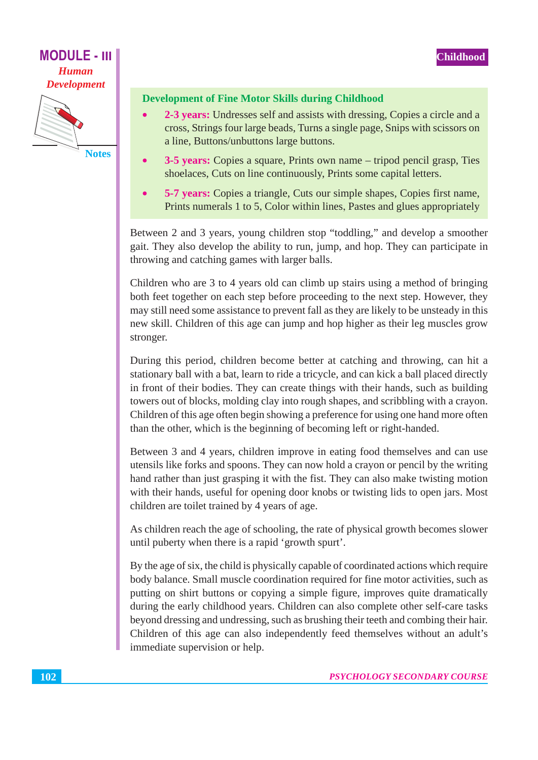$\bullet$ 



## **Development of Fine Motor Skills during Childhood**

- 2-3 vears: Undresses self and assists with dressing, Copies a circle and a cross, Strings four large beads, Turns a single page, Snips with scissors on a line, Buttons/unbuttons large buttons.
- 3-5 years: Copies a square, Prints own name tripod pencil grasp, Ties shoelaces, Cuts on line continuously, Prints some capital letters.
- 5-7 years: Copies a triangle, Cuts our simple shapes, Copies first name, Prints numerals 1 to 5, Color within lines, Pastes and glues appropriately

Between 2 and 3 years, young children stop "toddling," and develop a smoother gait. They also develop the ability to run, jump, and hop. They can participate in throwing and catching games with larger balls.

Children who are 3 to 4 years old can climb up stairs using a method of bringing both feet together on each step before proceeding to the next step. However, they may still need some assistance to prevent fall as they are likely to be unsteady in this new skill. Children of this age can jump and hop higher as their leg muscles grow stronger.

During this period, children become better at catching and throwing, can hit a stationary ball with a bat, learn to ride a tricycle, and can kick a ball placed directly in front of their bodies. They can create things with their hands, such as building towers out of blocks, molding clay into rough shapes, and scribbling with a crayon. Children of this age often begin showing a preference for using one hand more often than the other, which is the beginning of becoming left or right-handed.

Between 3 and 4 years, children improve in eating food themselves and can use utensils like forks and spoons. They can now hold a crayon or pencil by the writing hand rather than just grasping it with the fist. They can also make twisting motion with their hands, useful for opening door knobs or twisting lids to open jars. Most children are toilet trained by 4 years of age.

As children reach the age of schooling, the rate of physical growth becomes slower until puberty when there is a rapid 'growth spurt'.

By the age of six, the child is physically capable of coordinated actions which require body balance. Small muscle coordination required for fine motor activities, such as putting on shirt buttons or copying a simple figure, improves quite dramatically during the early childhood years. Children can also complete other self-care tasks beyond dressing and undressing, such as brushing their teeth and combing their hair. Children of this age can also independently feed themselves without an adult's immediate supervision or help.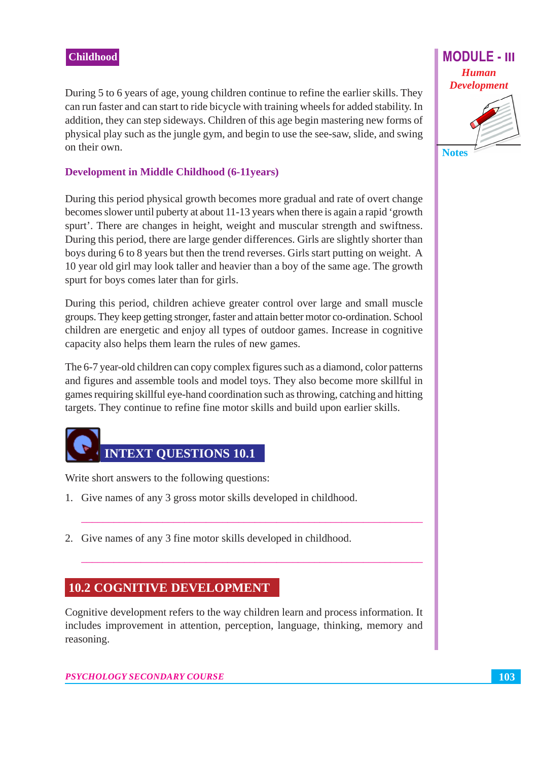During 5 to 6 years of age, young children continue to refine the earlier skills. They can run faster and can start to ride bicycle with training wheels for added stability. In addition, they can step sideways. Children of this age begin mastering new forms of physical play such as the jungle gym, and begin to use the see-saw, slide, and swing on their own.

### **Development in Middle Childhood (6-11years)**

During this period physical growth becomes more gradual and rate of overt change becomes slower until puberty at about 11-13 years when there is again a rapid 'growth spurt'. There are changes in height, weight and muscular strength and swiftness. During this period, there are large gender differences. Girls are slightly shorter than boys during 6 to 8 years but then the trend reverses. Girls start putting on weight. A 10 year old girl may look taller and heavier than a boy of the same age. The growth spurt for boys comes later than for girls.

During this period, children achieve greater control over large and small muscle groups. They keep getting stronger, faster and attain better motor co-ordination. School children are energetic and enjoy all types of outdoor games. Increase in cognitive capacity also helps them learn the rules of new games.

The 6-7 year-old children can copy complex figures such as a diamond, color patterns and figures and assemble tools and model toys. They also become more skillful in games requiring skillful eye-hand coordination such as throwing, catching and hitting targets. They continue to refine fine motor skills and build upon earlier skills.

# **INTEXT QUESTIONS 10.1**

Write short answers to the following questions:

- 1. Give names of any 3 gross motor skills developed in childhood.
- 2. Give names of any 3 fine motor skills developed in childhood.

## **10.2 COGNITIVE DEVELOPMENT**

Cognitive development refers to the way children learn and process information. It includes improvement in attention, perception, language, thinking, memory and reasoning.



**Notes** 

103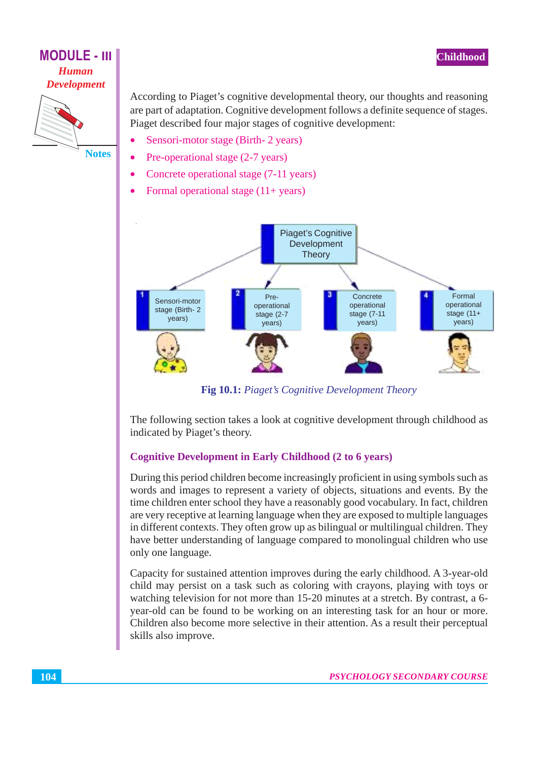## **MODULE - III Human Development**



**Notes** 

According to Piaget's cognitive developmental theory, our thoughts and reasoning are part of adaptation. Cognitive development follows a definite sequence of stages. Piaget described four major stages of cognitive development:

- Sensori-motor stage (Birth-2 years)
- Pre-operational stage (2-7 years)
- Concrete operational stage (7-11 years)
- Formal operational stage  $(11 + years)$  $\bullet$



Fig 10.1: Piaget's Cognitive Development Theory

The following section takes a look at cognitive development through childhood as indicated by Piaget's theory.

## **Cognitive Development in Early Childhood (2 to 6 years)**

During this period children become increasingly proficient in using symbols such as words and images to represent a variety of objects, situations and events. By the time children enter school they have a reasonably good vocabulary. In fact, children are very receptive at learning language when they are exposed to multiple languages in different contexts. They often grow up as bilingual or multilingual children. They have better understanding of language compared to monolingual children who use only one language.

Capacity for sustained attention improves during the early childhood. A 3-year-old child may persist on a task such as coloring with crayons, playing with toys or watching television for not more than 15-20 minutes at a stretch. By contrast, a 6year-old can be found to be working on an interesting task for an hour or more. Children also become more selective in their attention. As a result their perceptual skills also improve.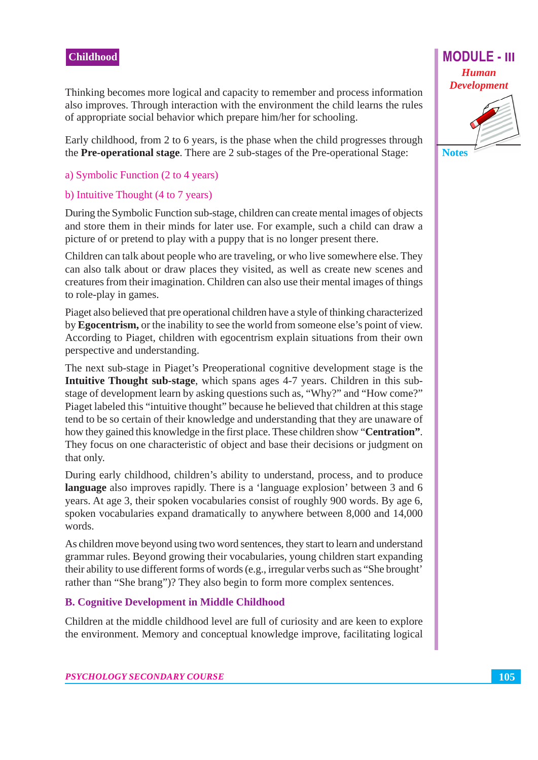Thinking becomes more logical and capacity to remember and process information also improves. Through interaction with the environment the child learns the rules of appropriate social behavior which prepare him/her for schooling.

Early childhood, from 2 to 6 years, is the phase when the child progresses through the Pre-operational stage. There are 2 sub-stages of the Pre-operational Stage:

#### a) Symbolic Function (2 to 4 years)

#### b) Intuitive Thought (4 to 7 years)

During the Symbolic Function sub-stage, children can create mental images of objects and store them in their minds for later use. For example, such a child can draw a picture of or pretend to play with a puppy that is no longer present there.

Children can talk about people who are traveling, or who live somewhere else. They can also talk about or draw places they visited, as well as create new scenes and creatures from their imagination. Children can also use their mental images of things to role-play in games.

Piaget also believed that pre operational children have a style of thinking characterized by **Egocentrism**, or the inability to see the world from some one else's point of view. According to Piaget, children with egocentrism explain situations from their own perspective and understanding.

The next sub-stage in Piaget's Preoperational cognitive development stage is the Intuitive Thought sub-stage, which spans ages 4-7 years. Children in this substage of development learn by asking questions such as, "Why?" and "How come?" Piaget labeled this "intuitive thought" because he believed that children at this stage tend to be so certain of their knowledge and understanding that they are unaware of how they gained this knowledge in the first place. These children show "Centration". They focus on one characteristic of object and base their decisions or judgment on that only.

During early childhood, children's ability to understand, process, and to produce language also improves rapidly. There is a 'language explosion' between 3 and 6 years. At age 3, their spoken vocabularies consist of roughly 900 words. By age 6, spoken vocabularies expand dramatically to anywhere between 8,000 and 14,000 words.

As children move beyond using two word sentences, they start to learn and understand grammar rules. Beyond growing their vocabularies, young children start expanding their ability to use different forms of words (e.g., irregular verbs such as "She brought" rather than "She brang")? They also begin to form more complex sentences.

## **B. Cognitive Development in Middle Childhood**

Children at the middle childhood level are full of curiosity and are keen to explore the environment. Memory and conceptual knowledge improve, facilitating logical

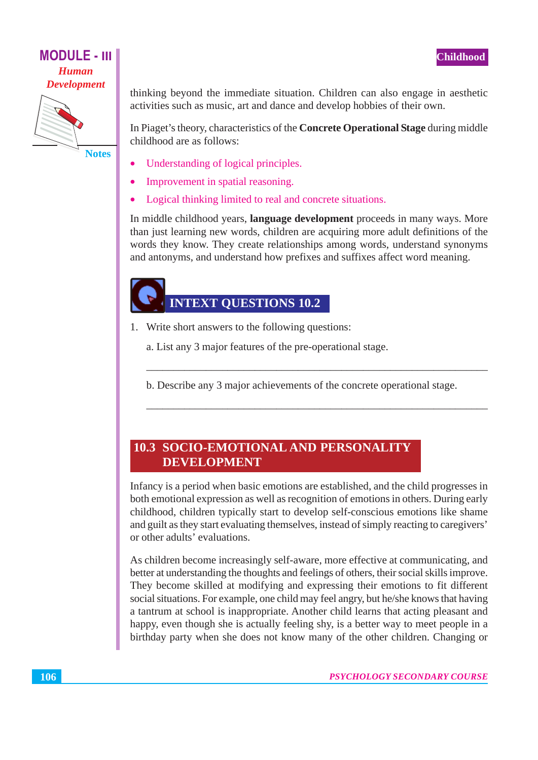## **MODULE - III Human Development**



thinking beyond the immediate situation. Children can also engage in aesthetic activities such as music, art and dance and develop hobbies of their own.

In Piaget's theory, characteristics of the **Concrete Operational Stage** during middle childhood are as follows:

- Understanding of logical principles.
- Improvement in spatial reasoning.
- Logical thinking limited to real and concrete situations.  $\bullet$

In middle childhood years, language development proceeds in many ways. More than just learning new words, children are acquiring more adult definitions of the words they know. They create relationships among words, understand synonyms and antonyms, and understand how prefixes and suffixes affect word meaning.

## **INTEXT QUESTIONS 10.2**

- 1. Write short answers to the following questions:
	- a. List any 3 major features of the pre-operational stage.
	- b. Describe any 3 major achievements of the concrete operational stage.

## **10.3 SOCIO-EMOTIONAL AND PERSONALITY DEVELOPMENT**

Infancy is a period when basic emotions are established, and the child progresses in both emotional expression as well as recognition of emotions in others. During early childhood, children typically start to develop self-conscious emotions like shame and guilt as they start evaluating themselves, instead of simply reacting to caregivers' or other adults' evaluations.

As children become increasingly self-aware, more effective at communicating, and better at understanding the thoughts and feelings of others, their social skills improve. They become skilled at modifying and expressing their emotions to fit different social situations. For example, one child may feel angry, but he/she knows that having a tantrum at school is inappropriate. Another child learns that acting pleasant and happy, even though she is actually feeling shy, is a better way to meet people in a birthday party when she does not know many of the other children. Changing or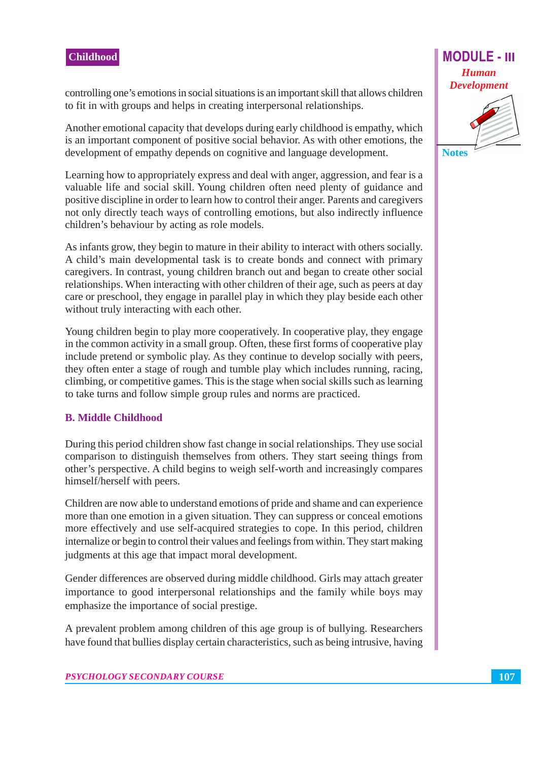**Notes** 

controlling one's emotions in social situations is an important skill that allows children to fit in with groups and helps in creating interpersonal relationships.

Another emotional capacity that develops during early childhood is empathy, which is an important component of positive social behavior. As with other emotions, the development of empathy depends on cognitive and language development.

Learning how to appropriately express and deal with anger, aggression, and fear is a valuable life and social skill. Young children often need plenty of guidance and positive discipline in order to learn how to control their anger. Parents and caregivers not only directly teach ways of controlling emotions, but also indirectly influence children's behaviour by acting as role models.

As infants grow, they begin to mature in their ability to interact with others socially. A child's main developmental task is to create bonds and connect with primary caregivers. In contrast, young children branch out and began to create other social relationships. When interacting with other children of their age, such as peers at day care or preschool, they engage in parallel play in which they play beside each other without truly interacting with each other.

Young children begin to play more cooperatively. In cooperative play, they engage in the common activity in a small group. Often, these first forms of cooperative play include pretend or symbolic play. As they continue to develop socially with peers, they often enter a stage of rough and tumble play which includes running, racing, climbing, or competitive games. This is the stage when social skills such as learning to take turns and follow simple group rules and norms are practiced.

## **B. Middle Childhood**

During this period children show fast change in social relationships. They use social comparison to distinguish themselves from others. They start seeing things from other's perspective. A child begins to weigh self-worth and increasingly compares himself/herself with peers.

Children are now able to understand emotions of pride and shame and can experience more than one emotion in a given situation. They can suppress or conceal emotions more effectively and use self-acquired strategies to cope. In this period, children internalize or begin to control their values and feelings from within. They start making judgments at this age that impact moral development.

Gender differences are observed during middle childhood. Girls may attach greater importance to good interpersonal relationships and the family while boys may emphasize the importance of social prestige.

A prevalent problem among children of this age group is of bullying. Researchers have found that bullies display certain characteristics, such as being intrusive, having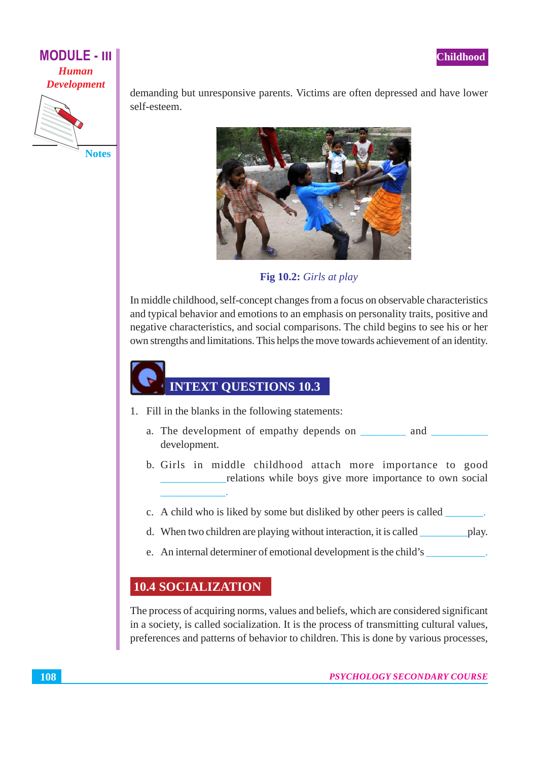

demanding but unresponsive parents. Victims are often depressed and have lower self-esteem.



Fig 10.2: Girls at play

In middle childhood, self-concept changes from a focus on observable characteristics and typical behavior and emotions to an emphasis on personality traits, positive and negative characteristics, and social comparisons. The child begins to see his or her own strengths and limitations. This helps the move towards achievement of an identity.

# **INTEXT QUESTIONS 10.3**

- 1. Fill in the blanks in the following statements:
	- a. The development of empathy depends on \_\_\_\_\_\_\_\_ and \_\_ development.
	- b. Girls in middle childhood attach more importance to good relations while boys give more importance to own social
	- c. A child who is liked by some but disliked by other peers is called \_\_\_\_\_\_\_.
	- d. When two children are playing without interaction, it is called \_\_\_\_\_\_\_\_\_\_\_\_\_\_ play.
	- e. An internal determiner of emotional development is the child's

## **10.4 SOCIALIZATION**

The process of acquiring norms, values and beliefs, which are considered significant in a society, is called socialization. It is the process of transmitting cultural values, preferences and patterns of behavior to children. This is done by various processes,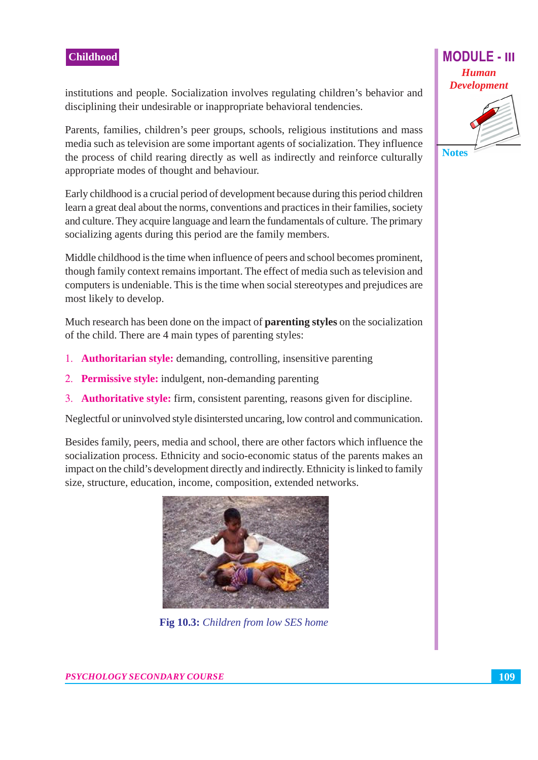institutions and people. Socialization involves regulating children's behavior and disciplining their undesirable or inappropriate behavioral tendencies.

Parents, families, children's peer groups, schools, religious institutions and mass media such as television are some important agents of socialization. They influence the process of child rearing directly as well as indirectly and reinforce culturally appropriate modes of thought and behaviour.

Early childhood is a crucial period of development because during this period children learn a great deal about the norms, conventions and practices in their families, society and culture. They acquire language and learn the fundamentals of culture. The primary socializing agents during this period are the family members.

Middle childhood is the time when influence of peers and school becomes prominent, though family context remains important. The effect of media such as television and computers is undeniable. This is the time when social stereotypes and prejudices are most likely to develop.

Much research has been done on the impact of **parenting styles** on the socialization of the child. There are 4 main types of parenting styles:

- 1. **Authoritarian style:** demanding, controlling, insensitive parenting
- 2. Permissive style: indulgent, non-demanding parenting
- 3. **Authoritative style:** firm, consistent parenting, reasons given for discipline.

Neglectful or uninvolved style disintersted uncaring, low control and communication.

Besides family, peers, media and school, there are other factors which influence the socialization process. Ethnicity and socio-economic status of the parents makes an impact on the child's development directly and indirectly. Ethnicity is linked to family size, structure, education, income, composition, extended networks.



Fig 10.3: Children from low SES home

**PSYCHOLOGY SECONDARY COURSE** 



**Notes**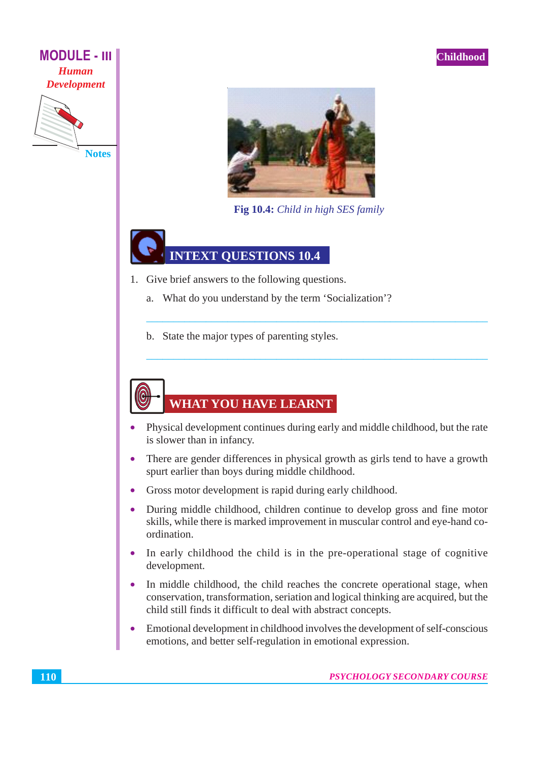



Fig 10.4: Child in high SES family

## **INTEXT OUESTIONS 10.4**

- 1. Give brief answers to the following questions.
	- What do you understand by the term 'Socialization'? a.
	- b. State the major types of parenting styles.

## **WHAT YOU HAVE LEARNT**

- Physical development continues during early and middle childhood, but the rate is slower than in infancy.
- There are gender differences in physical growth as girls tend to have a growth  $\bullet$ spurt earlier than boys during middle childhood.
- Gross motor development is rapid during early childhood.  $\bullet$
- During middle childhood, children continue to develop gross and fine motor  $\bullet$ skills, while there is marked improvement in muscular control and eye-hand coordination.
- In early childhood the child is in the pre-operational stage of cognitive  $\bullet$ development.
- In middle childhood, the child reaches the concrete operational stage, when conservation, transformation, seriation and logical thinking are acquired, but the child still finds it difficult to deal with abstract concepts.
- Emotional development in childhood involves the development of self-conscious  $\bullet$ emotions, and better self-regulation in emotional expression.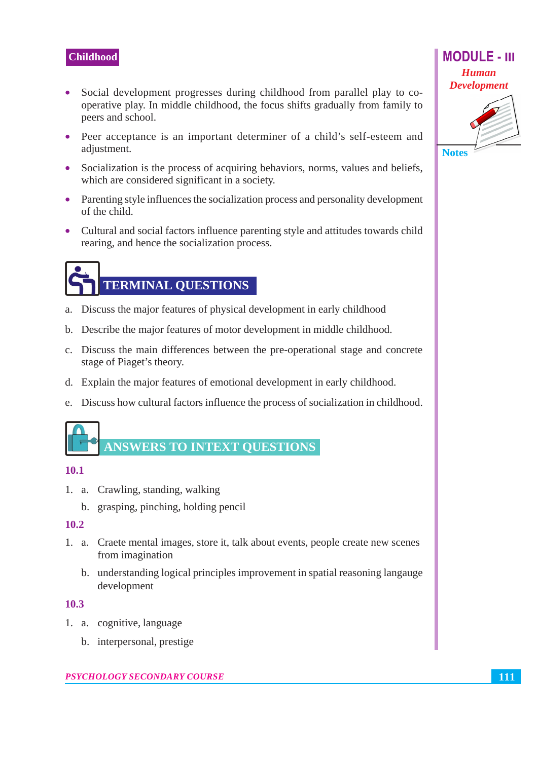- Social development progresses during childhood from parallel play to co- $\bullet$ operative play. In middle childhood, the focus shifts gradually from family to peers and school.
- Peer acceptance is an important determiner of a child's self-esteem and adjustment.
- Socialization is the process of acquiring behaviors, norms, values and beliefs, which are considered significant in a society.
- Parenting style influences the socialization process and personality development of the child.
- Cultural and social factors influence parenting style and attitudes towards child rearing, and hence the socialization process.

# **TERMINAL QUESTIONS**

- a. Discuss the major features of physical development in early childhood
- b. Describe the major features of motor development in middle childhood.
- c. Discuss the main differences between the pre-operational stage and concrete stage of Piaget's theory.
- d. Explain the major features of emotional development in early childhood.
- e. Discuss how cultural factors influence the process of socialization in childhood.

## **ANSWERS TO INTEXT QUESTIONS**

## $10.1$

- 1. a. Crawling, standing, walking
	- b. grasping, pinching, holding pencil

#### 10.2

- 1. a. Craete mental images, store it, talk about events, people create new scenes from imagination
	- b. understanding logical principles improvement in spatial reasoning language development

#### $10.3$

- 1. a. cognitive, language
	- b. interpersonal, prestige

#### PSYCHOLOGY SECONDARY COURSE



**Notes**